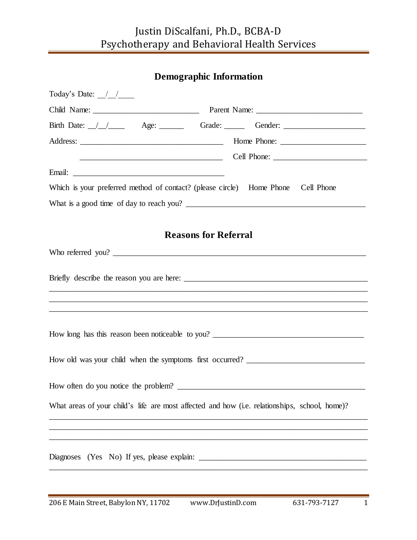# Justin DiScalfani, Ph.D., BCBA-D Psychotherapy and Behavioral Health Services

| <b>Demographic Information</b>                                                                |  |
|-----------------------------------------------------------------------------------------------|--|
| Today's Date: $\angle$                                                                        |  |
|                                                                                               |  |
| Birth Date: <u>/ / age:</u> ____ Grade: ____ Gender: _____                                    |  |
|                                                                                               |  |
|                                                                                               |  |
|                                                                                               |  |
| Which is your preferred method of contact? (please circle) Home Phone Cell Phone              |  |
|                                                                                               |  |
|                                                                                               |  |
| <b>Reasons for Referral</b>                                                                   |  |
|                                                                                               |  |
|                                                                                               |  |
| ,我们也不能在这里的时候,我们也不能在这里的时候,我们也不能不能不能不能不能不能不能不能不能不能不能不能不能不能不能。""我们的是,我们也不能不能不能不能不能不能             |  |
|                                                                                               |  |
|                                                                                               |  |
|                                                                                               |  |
|                                                                                               |  |
| What areas of your child's life are most affected and how (i.e. relationships, school, home)? |  |
| ,我们也不会有什么。""我们的人,我们也不会有什么?""我们的人,我们也不会有什么?""我们的人,我们也不会有什么?""我们的人,我们也不会有什么?""我们的人              |  |
|                                                                                               |  |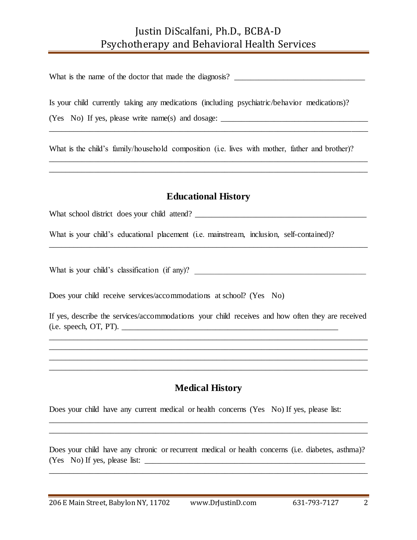### Justin DiScalfani, Ph.D., BCBA-D Psychotherapy and Behavioral Health Services

What is the name of the doctor that made the diagnosis? \_\_\_\_\_\_\_\_\_\_\_\_\_\_\_\_\_\_\_\_\_\_\_\_\_\_\_\_\_\_\_\_

Is your child currently taking any medications (including psychiatric/behavior medications)?

(Yes No) If yes, please write name(s) and dosage: \_\_\_\_\_\_\_\_\_\_\_\_\_\_\_\_\_\_\_\_\_\_\_\_\_\_\_\_\_\_\_

What is the child's family/household composition (i.e. lives with mother, father and brother)?

\_\_\_\_\_\_\_\_\_\_\_\_\_\_\_\_\_\_\_\_\_\_\_\_\_\_\_\_\_\_\_\_\_\_\_\_\_\_\_\_\_\_\_\_\_\_\_\_\_\_\_\_\_\_\_\_\_\_\_\_\_\_\_\_\_\_\_\_\_\_\_\_\_\_\_\_\_\_

\_\_\_\_\_\_\_\_\_\_\_\_\_\_\_\_\_\_\_\_\_\_\_\_\_\_\_\_\_\_\_\_\_\_\_\_\_\_\_\_\_\_\_\_\_\_\_\_\_\_\_\_\_\_\_\_\_\_\_\_\_\_\_\_\_\_\_\_\_\_\_\_\_\_\_\_\_\_ \_\_\_\_\_\_\_\_\_\_\_\_\_\_\_\_\_\_\_\_\_\_\_\_\_\_\_\_\_\_\_\_\_\_\_\_\_\_\_\_\_\_\_\_\_\_\_\_\_\_\_\_\_\_\_\_\_\_\_\_\_\_\_\_\_\_\_\_\_\_\_\_\_\_\_\_\_\_

#### **Educational History**

\_\_\_\_\_\_\_\_\_\_\_\_\_\_\_\_\_\_\_\_\_\_\_\_\_\_\_\_\_\_\_\_\_\_\_\_\_\_\_\_\_\_\_\_\_\_\_\_\_\_\_\_\_\_\_\_\_\_\_\_\_\_\_\_\_\_\_\_\_\_\_\_\_\_\_\_\_\_

What school district does your child attend? \_\_\_\_\_\_\_\_\_\_\_\_\_\_\_\_\_\_\_\_\_\_\_\_\_\_\_\_\_\_\_\_\_\_\_\_\_\_\_\_\_\_

What is your child's educational placement (i.e. mainstream, inclusion, self-contained)?

What is your child's classification (if any)?

Does your child receive services/accommodations at school? (Yes No)

If yes, describe the services/accommodations your child receives and how often they are received  $(i.e. speech, OT, PT)$ .

\_\_\_\_\_\_\_\_\_\_\_\_\_\_\_\_\_\_\_\_\_\_\_\_\_\_\_\_\_\_\_\_\_\_\_\_\_\_\_\_\_\_\_\_\_\_\_\_\_\_\_\_\_\_\_\_\_\_\_\_\_\_\_\_\_\_\_\_\_\_\_\_\_\_\_\_\_\_ \_\_\_\_\_\_\_\_\_\_\_\_\_\_\_\_\_\_\_\_\_\_\_\_\_\_\_\_\_\_\_\_\_\_\_\_\_\_\_\_\_\_\_\_\_\_\_\_\_\_\_\_\_\_\_\_\_\_\_\_\_\_\_\_\_\_\_\_\_\_\_\_\_\_\_\_\_\_ \_\_\_\_\_\_\_\_\_\_\_\_\_\_\_\_\_\_\_\_\_\_\_\_\_\_\_\_\_\_\_\_\_\_\_\_\_\_\_\_\_\_\_\_\_\_\_\_\_\_\_\_\_\_\_\_\_\_\_\_\_\_\_\_\_\_\_\_\_\_\_\_\_\_\_\_\_\_ \_\_\_\_\_\_\_\_\_\_\_\_\_\_\_\_\_\_\_\_\_\_\_\_\_\_\_\_\_\_\_\_\_\_\_\_\_\_\_\_\_\_\_\_\_\_\_\_\_\_\_\_\_\_\_\_\_\_\_\_\_\_\_\_\_\_\_\_\_\_\_\_\_\_\_\_\_\_

#### **Medical History**

\_\_\_\_\_\_\_\_\_\_\_\_\_\_\_\_\_\_\_\_\_\_\_\_\_\_\_\_\_\_\_\_\_\_\_\_\_\_\_\_\_\_\_\_\_\_\_\_\_\_\_\_\_\_\_\_\_\_\_\_\_\_\_\_\_\_\_\_\_\_\_\_\_\_\_\_\_\_ \_\_\_\_\_\_\_\_\_\_\_\_\_\_\_\_\_\_\_\_\_\_\_\_\_\_\_\_\_\_\_\_\_\_\_\_\_\_\_\_\_\_\_\_\_\_\_\_\_\_\_\_\_\_\_\_\_\_\_\_\_\_\_\_\_\_\_\_\_\_\_\_\_\_\_\_\_\_

Does your child have any current medical or health concerns (Yes No) If yes, please list:

Does your child have any chronic or recurrent medical or health concerns (i.e. diabetes, asthma)? (Yes No) If yes, please list: \_\_\_\_\_\_\_\_\_\_\_\_\_\_\_\_\_\_\_\_\_\_\_\_\_\_\_\_\_\_\_\_\_\_\_\_\_\_\_\_\_\_\_\_\_\_\_\_\_\_\_\_\_\_

\_\_\_\_\_\_\_\_\_\_\_\_\_\_\_\_\_\_\_\_\_\_\_\_\_\_\_\_\_\_\_\_\_\_\_\_\_\_\_\_\_\_\_\_\_\_\_\_\_\_\_\_\_\_\_\_\_\_\_\_\_\_\_\_\_\_\_\_\_\_\_\_\_\_\_\_\_\_